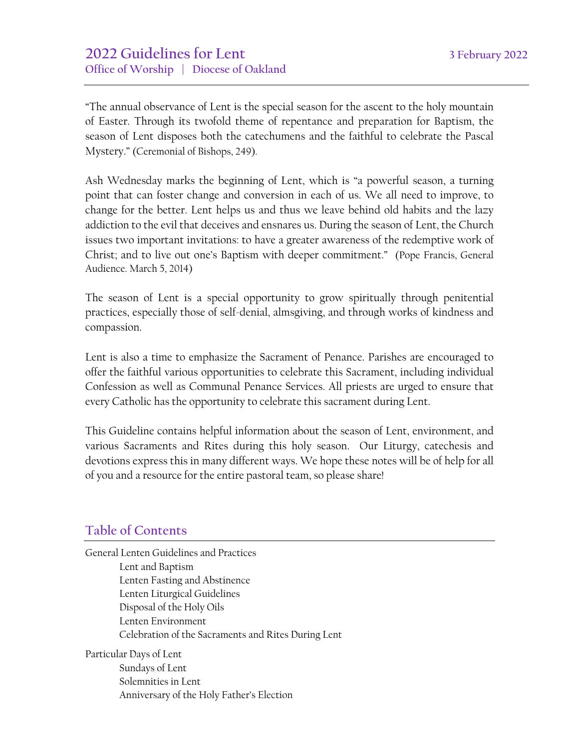"The annual observance of Lent is the special season for the ascent to the holy mountain of Easter. Through its twofold theme of repentance and preparation for Baptism, the season of Lent disposes both the catechumens and the faithful to celebrate the Pascal Mystery." (Ceremonial of Bishops, 249).

Ash Wednesday marks the beginning of Lent, which is "a powerful season, a turning point that can foster change and conversion in each of us. We all need to improve, to change for the better. Lent helps us and thus we leave behind old habits and the lazy addiction to the evil that deceives and ensnares us. During the season of Lent, the Church issues two important invitations: to have a greater awareness of the redemptive work of Christ; and to live out one's Baptism with deeper commitment." (Pope Francis, General Audience. March 5, 2014)

The season of Lent is a special opportunity to grow spiritually through penitential practices, especially those of self-denial, almsgiving, and through works of kindness and compassion.

Lent is also a time to emphasize the Sacrament of Penance. Parishes are encouraged to offer the faithful various opportunities to celebrate this Sacrament, including individual Confession as well as Communal Penance Services. All priests are urged to ensure that every Catholic has the opportunity to celebrate this sacrament during Lent.

This Guideline contains helpful information about the season of Lent, environment, and various Sacraments and Rites during this holy season. Our Liturgy, catechesis and devotions express this in many different ways. We hope these notes will be of help for all of you and a resource for the entire pastoral team, so please share!

### **Table of Contents**

General Lenten Guidelines and Practices Lent and Baptism Lenten Fasting and Abstinence Lenten Liturgical Guidelines Disposal of the Holy Oils Lenten Environment Celebration of the Sacraments and Rites During Lent

Particular Days of Lent Sundays of Lent Solemnities in Lent Anniversary of the Holy Father's Election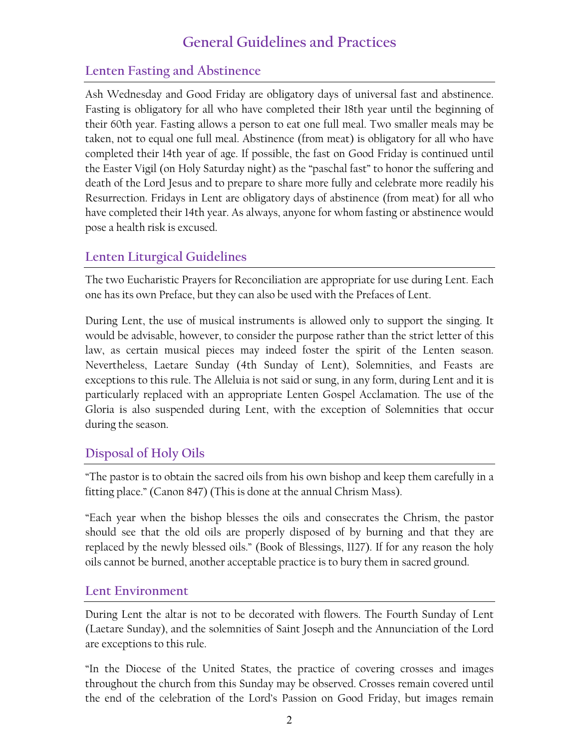# **General Guidelines and Practices**

## **Lenten Fasting and Abstinence**

Ash Wednesday and Good Friday are obligatory days of universal fast and abstinence. Fasting is obligatory for all who have completed their 18th year until the beginning of their 60th year. Fasting allows a person to eat one full meal. Two smaller meals may be taken, not to equal one full meal. Abstinence (from meat) is obligatory for all who have completed their 14th year of age. If possible, the fast on Good Friday is continued until the Easter Vigil (on Holy Saturday night) as the "paschal fast" to honor the suffering and death of the Lord Jesus and to prepare to share more fully and celebrate more readily his Resurrection. Fridays in Lent are obligatory days of abstinence (from meat) for all who have completed their 14th year. As always, anyone for whom fasting or abstinence would pose a health risk is excused.

## **Lenten Liturgical Guidelines**

The two Eucharistic Prayers for Reconciliation are appropriate for use during Lent. Each one has its own Preface, but they can also be used with the Prefaces of Lent.

During Lent, the use of musical instruments is allowed only to support the singing. It would be advisable, however, to consider the purpose rather than the strict letter of this law, as certain musical pieces may indeed foster the spirit of the Lenten season. Nevertheless, Laetare Sunday (4th Sunday of Lent), Solemnities, and Feasts are exceptions to this rule. The Alleluia is not said or sung, in any form, during Lent and it is particularly replaced with an appropriate Lenten Gospel Acclamation. The use of the Gloria is also suspended during Lent, with the exception of Solemnities that occur during the season.

### **Disposal of Holy Oils**

"The pastor is to obtain the sacred oils from his own bishop and keep them carefully in a fitting place." (Canon 847) (This is done at the annual Chrism Mass).

"Each year when the bishop blesses the oils and consecrates the Chrism, the pastor should see that the old oils are properly disposed of by burning and that they are replaced by the newly blessed oils." (Book of Blessings, 1127). If for any reason the holy oils cannot be burned, another acceptable practice is to bury them in sacred ground.

### **Lent Environment**

During Lent the altar is not to be decorated with flowers. The Fourth Sunday of Lent (Laetare Sunday), and the solemnities of Saint Joseph and the Annunciation of the Lord are exceptions to this rule.

"In the Diocese of the United States, the practice of covering crosses and images throughout the church from this Sunday may be observed. Crosses remain covered until the end of the celebration of the Lord's Passion on Good Friday, but images remain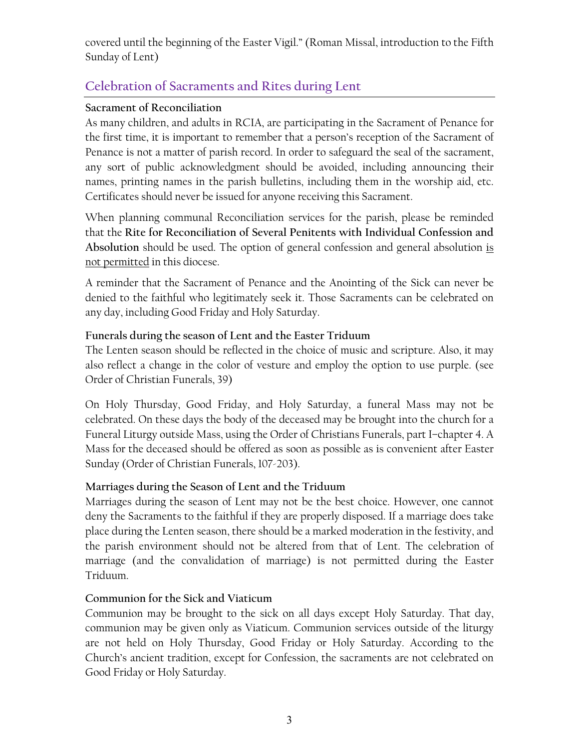covered until the beginning of the Easter Vigil." (Roman Missal, introduction to the Fifth Sunday of Lent)

# **Celebration of Sacraments and Rites during Lent**

### **Sacrament of Reconciliation**

As many children, and adults in RCIA, are participating in the Sacrament of Penance for the first time, it is important to remember that a person's reception of the Sacrament of Penance is not a matter of parish record. In order to safeguard the seal of the sacrament, any sort of public acknowledgment should be avoided, including announcing their names, printing names in the parish bulletins, including them in the worship aid, etc. Certificates should never be issued for anyone receiving this Sacrament.

When planning communal Reconciliation services for the parish, please be reminded that the **Rite for Reconciliation of Several Penitents with Individual Confession and Absolution** should be used. The option of general confession and general absolution is not permitted in this diocese.

A reminder that the Sacrament of Penance and the Anointing of the Sick can never be denied to the faithful who legitimately seek it. Those Sacraments can be celebrated on any day, including Good Friday and Holy Saturday.

### **Funerals during the season of Lent and the Easter Triduum**

The Lenten season should be reflected in the choice of music and scripture. Also, it may also reflect a change in the color of vesture and employ the option to use purple. (see Order of Christian Funerals, 39)

On Holy Thursday, Good Friday, and Holy Saturday, a funeral Mass may not be celebrated. On these days the body of the deceased may be brought into the church for a Funeral Liturgy outside Mass, using the Order of Christians Funerals, part I–chapter 4. A Mass for the deceased should be offered as soon as possible as is convenient after Easter Sunday (Order of Christian Funerals, 107-203).

### **Marriages during the Season of Lent and the Triduum**

Marriages during the season of Lent may not be the best choice. However, one cannot deny the Sacraments to the faithful if they are properly disposed. If a marriage does take place during the Lenten season, there should be a marked moderation in the festivity, and the parish environment should not be altered from that of Lent. The celebration of marriage (and the convalidation of marriage) is not permitted during the Easter Triduum.

### **Communion for the Sick and Viaticum**

Communion may be brought to the sick on all days except Holy Saturday. That day, communion may be given only as Viaticum. Communion services outside of the liturgy are not held on Holy Thursday, Good Friday or Holy Saturday. According to the Church's ancient tradition, except for Confession, the sacraments are not celebrated on Good Friday or Holy Saturday.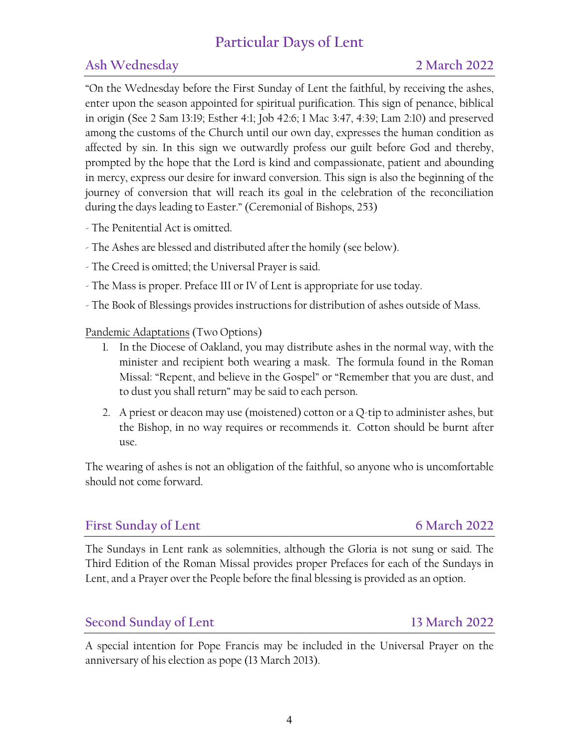# **Particular Days of Lent**

## **Ash Wednesday 2 March 2022**

"On the Wednesday before the First Sunday of Lent the faithful, by receiving the ashes, enter upon the season appointed for spiritual purification. This sign of penance, biblical in origin (See 2 Sam 13:19; Esther 4:1; Job 42:6; 1 Mac 3:47, 4:39; Lam 2:10) and preserved among the customs of the Church until our own day, expresses the human condition as affected by sin. In this sign we outwardly profess our guilt before God and thereby, prompted by the hope that the Lord is kind and compassionate, patient and abounding in mercy, express our desire for inward conversion. This sign is also the beginning of the journey of conversion that will reach its goal in the celebration of the reconciliation during the days leading to Easter." (Ceremonial of Bishops, 253)

- The Penitential Act is omitted.
- The Ashes are blessed and distributed after the homily (see below).
- The Creed is omitted; the Universal Prayer is said.
- The Mass is proper. Preface III or IV of Lent is appropriate for use today.
- The Book of Blessings provides instructions for distribution of ashes outside of Mass.

Pandemic Adaptations (Two Options)

- 1. In the Diocese of Oakland, you may distribute ashes in the normal way, with the minister and recipient both wearing a mask. The formula found in the Roman Missal: "Repent, and believe in the Gospel" or "Remember that you are dust, and to dust you shall return" may be said to each person.
- 2. A priest or deacon may use (moistened) cotton or a  $Q$ -tip to administer ashes, but the Bishop, in no way requires or recommends it. Cotton should be burnt after use.

The wearing of ashes is not an obligation of the faithful, so anyone who is uncomfortable should not come forward.

### First Sunday of Lent **6 March** 2022

The Sundays in Lent rank as solemnities, although the Gloria is not sung or said. The Third Edition of the Roman Missal provides proper Prefaces for each of the Sundays in Lent, and a Prayer over the People before the final blessing is provided as an option.

### **Second Sunday of Lent 13 March 2022**

A special intention for Pope Francis may be included in the Universal Prayer on the anniversary of his election as pope (13 March 2013).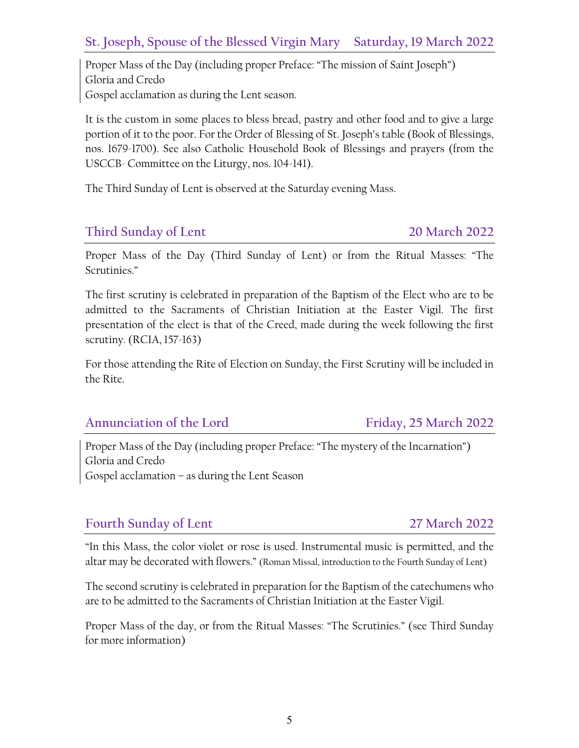### **St. Joseph, Spouse of the Blessed Virgin Mary Saturday, 19 March 2022**

Proper Mass of the Day (including proper Preface: "The mission of Saint Joseph") Gloria and Credo Gospel acclamation as during the Lent season.

It is the custom in some places to bless bread, pastry and other food and to give a large portion of it to the poor. For the Order of Blessing of St. Joseph's table (Book of Blessings, nos. 1679-1700). See also Catholic Household Book of Blessings and prayers (from the USCCB- Committee on the Liturgy, nos. 104-141).

The Third Sunday of Lent is observed at the Saturday evening Mass.

### **Third Sunday of Lent 20 March 2022**

Proper Mass of the Day (Third Sunday of Lent) or from the Ritual Masses: "The Scrutinies."

The first scrutiny is celebrated in preparation of the Baptism of the Elect who are to be admitted to the Sacraments of Christian Initiation at the Easter Vigil. The first presentation of the elect is that of the Creed, made during the week following the first scrutiny. (RCIA, 157-163)

For those attending the Rite of Election on Sunday, the First Scrutiny will be included in the Rite.

### **Annunciation of the Lord Friday, 25 March 2022**

Proper Mass of the Day (including proper Preface: "The mystery of the Incarnation") Gloria and Credo Gospel acclamation – as during the Lent Season

### **Fourth Sunday of Lent 27 March 2022**

"In this Mass, the color violet or rose is used. Instrumental music is permitted, and the altar may be decorated with flowers." (Roman Missal, introduction to the Fourth Sunday of Lent)

The second scrutiny is celebrated in preparation for the Baptism of the catechumens who are to be admitted to the Sacraments of Christian Initiation at the Easter Vigil.

Proper Mass of the day, or from the Ritual Masses: "The Scrutinies." (see Third Sunday for more information)